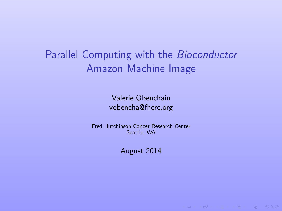Parallel Computing with the Bioconductor Amazon Machine Image

> Valerie Obenchain [vobencha@fhcrc.org](mailto:vobencha@fhcrc.org)

Fred Hutchinson Cancer Research Center Seattle, WA

August 2014

**ID A A IS IS SO A CONTROL**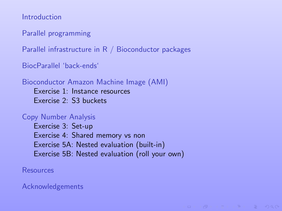[Introduction](#page-2-0)

[Parallel programming](#page-3-0)

[Parallel infrastructure in R / Bioconductor packages](#page-5-0)

[BiocParallel 'back-ends'](#page-8-0)

[Bioconductor Amazon Machine Image \(AMI\)](#page-10-0)

[Exercise 1: Instance resources](#page-14-0) [Exercise 2: S3 buckets](#page-18-0)

#### [Copy Number Analysis](#page-19-0)

[Exercise 3: Set-up](#page-20-0) [Exercise 4: Shared memory vs non](#page-21-0) [Exercise 5A: Nested evaluation \(built-in\)](#page-23-0) [Exercise 5B: Nested evaluation \(roll your own\)](#page-25-0)

**IC YOU LEDGED SOUND** 

[Resources](#page-26-0)

[Acknowledgements](#page-27-0)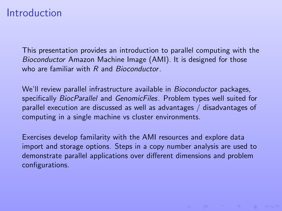#### Introduction

This presentation provides an introduction to parallel computing with the Bioconductor Amazon Machine Image (AMI). It is designed for those who are familiar with R and Bioconductor.

We'll review parallel infrastructure available in Bioconductor packages, specifically [BiocParallel](http://bioconductor.org/packages/release/bioc/html/BiocParallel.html) and [GenomicFiles](http://bioconductor.org/packages/release/bioc/html/GenomicFiles.html). Problem types well suited for parallel execution are discussed as well as advantages / disadvantages of computing in a single machine vs cluster environments.

<span id="page-2-0"></span>Exercises develop familarity with the AMI resources and explore data import and storage options. Steps in a copy number analysis are used to demonstrate parallel applications over different dimensions and problem configurations.

**INDIA BUILDING** & DACK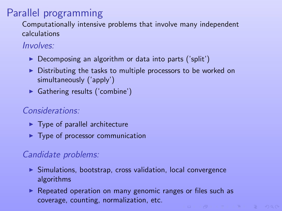# Parallel programming

Computationally intensive problems that involve many independent calculations

#### Involves:

- $\triangleright$  Decomposing an algorithm or data into parts ('split')
- $\triangleright$  Distributing the tasks to multiple processors to be worked on simultaneously ('apply')
- $\blacktriangleright$  Gathering results ('combine')

#### Considerations:

- $\blacktriangleright$  Type of parallel architecture
- $\blacktriangleright$  Type of processor communication

#### Candidate problems:

- $\blacktriangleright$  Simulations, bootstrap, cross validation, local convergence algorithms
- <span id="page-3-0"></span> $\triangleright$  Repeated operation on many genomic ranges or files such as coverage, counting, normalization, etc.**IC A LENER BOAC**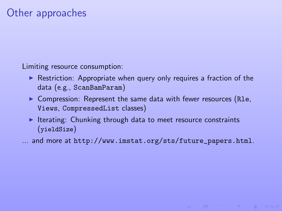# Other approaches

Limiting resource consumption:

- $\triangleright$  Restriction: Appropriate when query only requires a fraction of the data (e.g., ScanBamParam)
- $\triangleright$  Compression: Represent the same data with fewer resources (R1e, Views, CompressedList classes)
- Iterating: Chunking through data to meet resource constraints (yieldSize)
- ... and more at [http://www.imstat.org/sts/future\\_papers.html](http://www.imstat.org/sts/future_papers.html).

**IC SOLUTION AND STATE**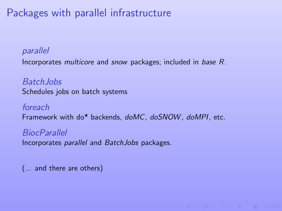# Packages with parallel infrastructure

#### parallel

Incorporates multicore and snow packages; included in base R.

Batch Jobs Schedules jobs on batch systems

foreach Framework with do\* backends, doMC, doSNOW, doMPI, etc.

**BiocParallel** Incorporates parallel and BatchJobs packages.

<span id="page-5-0"></span>(... and there are others)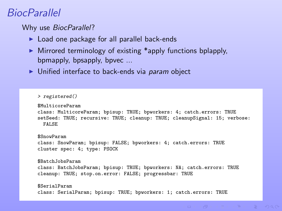## BiocParallel

Why use BiocParallel?

- $\blacktriangleright$  Load one package for all parallel back-ends
- $\triangleright$  Mirrored terminology of existing \*apply functions bplapply, bpmapply, bpsapply, bpvec ...
- $\blacktriangleright$  Unified interface to back-ends via *param* object

```
> registered()
$MulticoreParam
class: MulticoreParam; bpisup: TRUE; bpworkers: 4; catch.errors: TRUE
setSeed: TRUE; recursive: TRUE; cleanup: TRUE; cleanupSignal: 15; verbose:
 FALSE
$SnowParam
class: SnowParam; bpisup: FALSE; bpworkers: 4; catch.errors: TRUE
cluster spec: 4; type: PSOCK
$Batch JohsParam
class: BatchJobsParam; bpisup: TRUE; bpworkers: NA; catch.errors: TRUE
cleanup: TRUE; stop.on.error: FALSE; progressbar: TRUE
$SerialParam
class: SerialParam; bpisup: TRUE; bpworkers: 1; catch.errors: TRUE
```
 $($  ロ >  $($   $\oplus$   $)$   $($   $\oplus$   $)$   $($   $\oplus$   $)$   $($   $\oplus$   $)$   $($ 

 $OQ$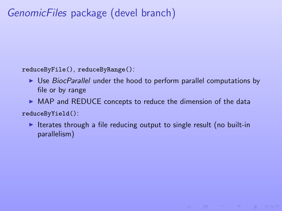# GenomicFiles package (devel branch)

reduceByFile(), reduceByRange():

- $\triangleright$  Use *BiocParallel* under the hood to perform parallel computations by file or by range
- $\triangleright$  MAP and REDUCE concepts to reduce the dimension of the data

reduceByYield():

 $\triangleright$  Iterates through a file reducing output to single result (no built-in parallelism)

**INDIA AND IN THE REPORT OF STARTING**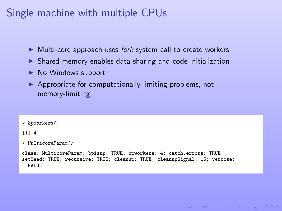# Single machine with multiple CPUs

- $\blacktriangleright$  Multi-core approach uses *fork* system call to create workers
- $\triangleright$  Shared memory enables data sharing and code initialization
- $\triangleright$  No Windows support
- $\triangleright$  Appropriate for computationally-limiting problems, not memory-limiting

```
> bpworkers()
[1] 4
> MulticoreParam()
class: MulticoreParam; bpisup: TRUE; bpworkers: 4; catch.errors: TRUE
setSeed: TRUE; recursive: TRUE; cleanup: TRUE; cleanupSignal: 15; verbose:
  FALSE
```
**ILE AREA LES LE DIAGO**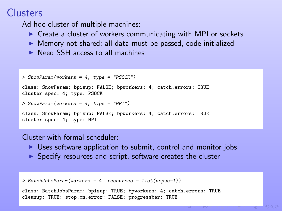# Clusters

Ad hoc cluster of multiple machines:

- $\triangleright$  Create a cluster of workers communicating with MPI or sockets
- $\triangleright$  Memory not shared; all data must be passed, code initialized
- $\triangleright$  Need SSH access to all machines

```
> SnowParam(workers = 4, type = "PSOCK")
class: SnowParam; bpisup: FALSE; bpworkers: 4; catch.errors: TRUE
cluster spec: 4; type: PSOCK
> SnowParam(workers = 4, type = "MPI")
class: SnowParam; bpisup: FALSE; bpworkers: 4; catch.errors: TRUE
cluster spec: 4; type: MPI
```
Cluster with formal scheduler:

- $\triangleright$  Uses software application to submit, control and monitor jobs
- $\blacktriangleright$  Specify resources and script, software creates the cluster

```
> BatchJobsParam(workers = 4, resources = list(ncpus=1))
class: BatchJobsParam; bpisup: TRUE; bpworkers: 4; catch.errors: TRUE
cleanup: TRUE; stop.on.error: FALSE; progressbar: TRUE
```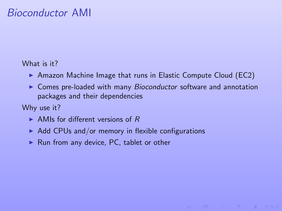# Bioconductor AMI

#### What is it?

- $\triangleright$  Amazon Machine Image that runs in Elastic Compute Cloud (EC2)
- $\triangleright$  Comes pre-loaded with many Bioconductor software and annotation packages and their dependencies

Why use it?

- $\triangleright$  AMIs for different versions of R
- $\blacktriangleright$  Add CPUs and/or memory in flexible configurations
- <span id="page-10-0"></span> $\blacktriangleright$  Run from any device, PC, tablet or other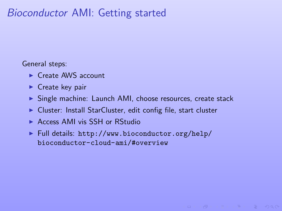# Bioconductor AMI: Getting started

General steps:

- $\triangleright$  Create AWS account
- $\blacktriangleright$  Create key pair
- $\triangleright$  Single machine: Launch AMI, choose resources, create stack

KER KØR KER ER E DAG

- $\triangleright$  Cluster: Install StarCluster, edit config file, start cluster
- ▶ Access AMI vis SSH or RStudio
- $\blacktriangleright$  Full details: [http://www.bioconductor.org/help/](http://www.bioconductor.org/help/bioconductor-cloud-ami/#overview) [bioconductor-cloud-ami/#overview](http://www.bioconductor.org/help/bioconductor-cloud-ami/#overview)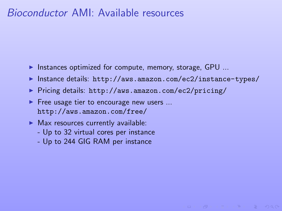## Bioconductor AMI: Available resources

- Instances optimized for compute, memory, storage,  $GPU$  ...
- Instance details: <http://aws.amazon.com/ec2/instance-types/>

(ロン) (包) (コン) (目) ( ) 白 り Q Q ^

- ▶ Pricing details: <http://aws.amazon.com/ec2/pricing/>
- $\blacktriangleright$  Free usage tier to encourage new users ... <http://aws.amazon.com/free/>
- $\blacktriangleright$  Max resources currently available:
	- Up to 32 virtual cores per instance
	- Up to 244 GIG RAM per instance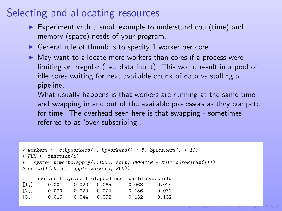# Selecting and allocating resources

- $\triangleright$  Experiment with a small example to understand cpu (time) and memory (space) needs of your program.
- General rule of thumb is to specify 1 worker per core.
- $\blacktriangleright$  May want to allocate more workers than cores if a process were limiting or irregular (i.e., data input). This would result in a pool of idle cores waiting for next available chunk of data vs stalling a pipeline.

What usually happens is that workers are running at the same time and swapping in and out of the available processors as they compete for time. The overhead seen here is that swapping - sometimes referred to as 'over-subscribing'.

```
> workers <- c(bpworkers(), bpworkers() + 5, bpworkers() + 10)
> FIIN \leq function(i)
   system.time(bplapply(1:1000, sqrt, BPPARAM = MulticoreParam(i)))
> do.call(rbind, lapply(workers, FUN))
```

|                    |       |       |       | user.self sys.self elapsed user.child sys.child |       |
|--------------------|-------|-------|-------|-------------------------------------------------|-------|
| [1,]               | 0.004 | 0.020 | 0.065 | 0.068                                           | 0.024 |
| $\left[2, \right]$ | 0.020 | 0.020 | 0.074 | 0.156                                           | 0.072 |
| $\left[3, \right]$ | 0.016 | 0.044 | 0.092 | 0.132                                           | 0.132 |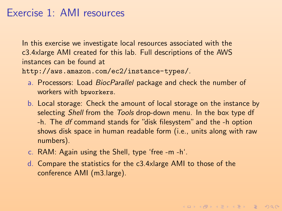## Exercise 1: AMI resources

In this exercise we investigate local resources associated with the c3.4xlarge AMI created for this lab. Full descriptions of the AWS instances can be found at

<http://aws.amazon.com/ec2/instance-types/>.

- a. Processors: Load [BiocParallel](http://bioconductor.org/packages/release/bioc/html/BiocParallel.html) package and check the number of workers with bpworkers.
- b. Local storage: Check the amount of local storage on the instance by selecting Shell from the Tools drop-down menu. In the box type df -h. The df command stands for "disk filesystem" and the -h option shows disk space in human readable form (i.e., units along with raw numbers).

**KORKARKERKER E VOQO** 

- c. RAM: Again using the Shell, type 'free -m -h'.
- <span id="page-14-0"></span>d. Compare the statistics for the c3.4xlarge AMI to those of the conference AMI (m3.large).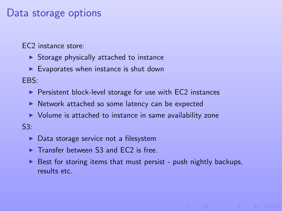#### Data storage options

EC2 instance store:

- $\triangleright$  Storage physically attached to instance
- $\blacktriangleright$  Evaporates when instance is shut down

EBS:

- $\triangleright$  Persistent block-level storage for use with EC2 instances
- **INE Network attached so some latency can be expected**
- $\triangleright$  Volume is attached to instance in same availability zone

S3:

- $\triangleright$  Data storage service not a filesystem
- $\triangleright$  Transfer between S3 and EC2 is free.
- $\triangleright$  Best for storing items that must persist push nightly backups, results etc.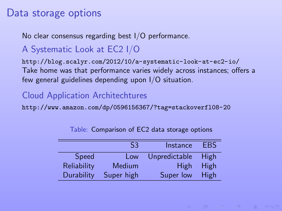#### Data storage options

No clear consensus regarding best I/O performance.

#### A Systematic Look at EC2 I/O

<http://blog.scalyr.com/2012/10/a-systematic-look-at-ec2-io/> Take home was that performance varies widely across instances; offers a few general guidelines depending upon I/O situation.

#### Cloud Application Architechtures

<http://www.amazon.com/dp/0596156367/?tag=stackoverfl08-20>

|             | S3         | Instance      | <b>FRS</b>  |
|-------------|------------|---------------|-------------|
| Speed       | Low        | Unpredictable | High        |
| Reliability | Medium     | <b>High</b>   | <b>High</b> |
| Durability  | Super high | Super low     | High        |

Table: Comparison of EC2 data storage options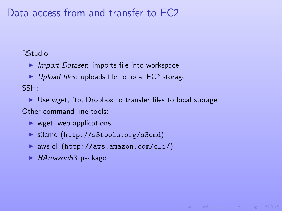## Data access from and transfer to EC2

RStudio:

- $\blacktriangleright$  Import Dataset: imports file into workspace
- $\blacktriangleright$  Upload files: uploads file to local EC2 storage SSH:
- $\triangleright$  Use wget, ftp, Dropbox to transfer files to local storage Other command line tools:

**IC YOU LEDGED SOUND** 

- $\triangleright$  wget, web applications
- ▶ s3cmd (<http://s3tools.org/s3cmd>)
- ▶ aws cli (<http://aws.amazon.com/cli/>)
- $\blacktriangleright$  RAmazonS3 package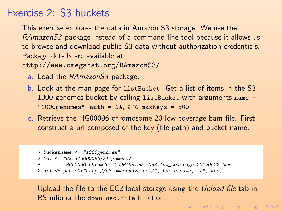## Exercise 2: S3 buckets

This exercise explores the data in Amazon S3 storage. We use the RAmazonS3 package instead of a command line tool because it allows us to browse and download public S3 data without authorization credentials. Package details are available at

<http://www.omegahat.org/RAmazonS3/>

- a. Load the RAmazonS3 package.
- b. Look at the man page for listBucket. Get a list of items in the S3 1000 genomes bucket by calling listBucket with arguments name = "1000genomes", auth = NA, and maxKeys = 500.
- c. Retrieve the HG00096 chromosome 20 low coverage bam file. First construct a url composed of the key (file path) and bucket name.

```
> bucketname <- "1000genomes"
> key <- "data/HG00096/alignment/
          + HG00096.chrom20.ILLUMINA.bwa.GBR.low_coverage.20120522.bam"
> url <- paste0("http://s3.amazonaws.com/", bucketname, "/", key)
```
<span id="page-18-0"></span>Upload the file to the EC2 local storage using the Upload file tab in RStudio or the download.file function.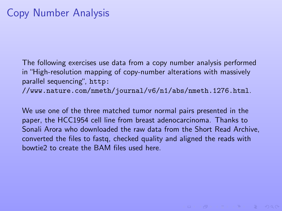The following exercises use data from a copy number analysis performed in "High-resolution mapping of copy-number alterations with massively parallel sequencing", [http:](http://www.nature.com/nmeth/journal/v6/n1/abs/nmeth.1276.html)

[//www.nature.com/nmeth/journal/v6/n1/abs/nmeth.1276.html](http://www.nature.com/nmeth/journal/v6/n1/abs/nmeth.1276.html).

<span id="page-19-0"></span>We use one of the three matched tumor normal pairs presented in the paper, the HCC1954 cell line from breast adenocarcinoma. Thanks to Sonali Arora who downloaded the raw data from the Short Read Archive, converted the files to fastq, checked quality and aligned the reads with bowtie2 to create the BAM files used here.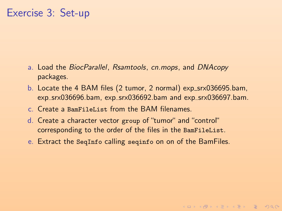## Exercise 3: Set-up

- a. Load the [BiocParallel](http://bioconductor.org/packages/release/bioc/html/BiocParallel.html), [Rsamtools](http://bioconductor.org/packages/release/bioc/html/Rsamtools.html), [cn.mops](http://bioconductor.org/packages/release/bioc/html/cn.mops.html), and [DNAcopy](http://bioconductor.org/packages/release/bioc/html/DNAcopy.html) packages.
- b. Locate the 4 BAM files (2 tumor, 2 normal) exp\_srx036695.bam, exp\_srx036696.bam, exp\_srx036692.bam and exp\_srx036697.bam.
- c. Create a BamFileList from the BAM filenames.
- d. Create a character vector group of "tumor" and "control" corresponding to the order of the files in the BamFileList.
- <span id="page-20-0"></span>e. Extract the SeqInfo calling seqinfo on on of the BamFiles.

**KORKARKERKER E VOQO**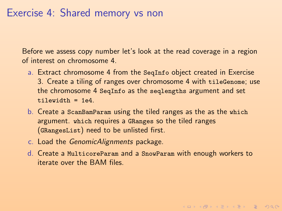#### Exercise 4: Shared memory vs non

Before we assess copy number let's look at the read coverage in a region of interest on chromosome 4.

- a. Extract chromosome 4 from the SeqInfo object created in Exercise 3. Create a tiling of ranges over chromosome 4 with tileGenome; use the chromosome 4 SeqInfo as the seqlengths argument and set  $till = 1e4$
- b. Create a ScanBamParam using the tiled ranges as the as the which argument. which requires a GRanges so the tiled ranges (GRangesList) need to be unlisted first.
- c. Load the [GenomicAlignments](http://bioconductor.org/packages/release/bioc/html/GenomicAlignments.html) package.
- <span id="page-21-0"></span>d. Create a MulticoreParam and a SnowParam with enough workers to iterate over the BAM files.

**KORKARKERKER E VOQO**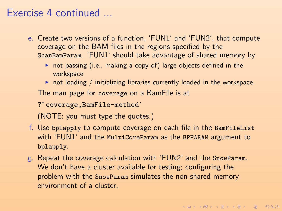### Exercise 4 continued ...

- e. Create two versions of a function, 'FUN1' and 'FUN2', that compute coverage on the BAM files in the regions specified by the ScanBamParam. 'FUN1' should take advantage of shared memory by
	- $\triangleright$  not passing (i.e., making a copy of) large objects defined in the workspace
	- $\triangleright$  not loading / initializing libraries currently loaded in the workspace.

The man page for coverage on a BamFile is at %% workspace<br>A not loading / initializing librar<br>The man page for coverage on a<br>?`coverage,BamFile-method`

(NOTE: you must type the quotes.)

- f. Use bplapply to compute coverage on each file in the BamFileList with 'FUN1' and the MultiCoreParam as the BPPARAM argument to bplapply.
- g. Repeat the coverage calculation with 'FUN2' and the SnowParam. We don't have a cluster available for testing; configuring the problem with the SnowParam simulates the non-shared memory environment of a cluster.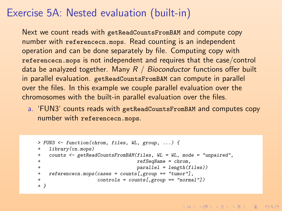# Exercise 5A: Nested evaluation (built-in)

Next we count reads with getReadCountsFromBAM and compute copy number with referencecn.mops. Read counting is an independent operation and can be done separately by file. Computing copy with referencecn.mops is not independent and requires that the case/control data be analyzed together. Many  $R / Bioconductor$  functions offer built in parallel evaluation. getReadCountsFromBAM can compute in parallel over the files. In this example we couple parallel evaluation over the chromosomes with the built-in parallel evaluation over the files.

a. 'FUN3' counts reads with getReadCountsFromBAM and computes copy number with referencecn.mops.

```
> FUN3 <- function(chrom, files, WL, group, ...) {
   library(cn.mops)
   + counts <- getReadCountsFromBAM(files, WL = WL, mode = "unpaired",
+ refSeqName = chrom,
+ parallel = length(files))
+ referencecn.mops(cases = counts[,group == "tumor"],
                 controls = counts[, group == "normal"]+ }
```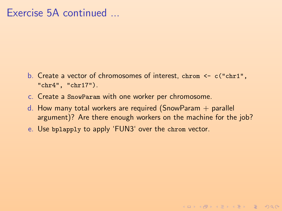## Exercise 5A continued ...

- b. Create a vector of chromosomes of interest, chrom <- c("chr1", "chr4", "chr17").
- c. Create a SnowParam with one worker per chromosome.
- d. How many total workers are required (SnowParam  $+$  parallel argument)? Are there enough workers on the machine for the job?

**KORKARKERKER E VOQO** 

e. Use bplapply to apply 'FUN3' over the chrom vector.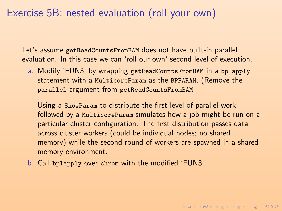## Exercise 5B: nested evaluation (roll your own)

Let's assume getReadCountsFromBAM does not have built-in parallel evaluation. In this case we can 'roll our own' second level of execution.

a. Modify 'FUN3' by wrapping getReadCountsFromBAM in a bplapply statement with a MulticoreParam as the BPPARAM. (Remove the parallel argument from getReadCountsFromBAM.

Using a SnowParam to distribute the first level of parallel work followed by a MulticoreParam simulates how a job might be run on a particular cluster configuration. The first distribution passes data across cluster workers (could be individual nodes; no shared memory) while the second round of workers are spawned in a shared memory environment.

**KORKARKERKER E VOQO** 

<span id="page-25-0"></span>b. Call bplapply over chrom with the modified 'FUN3'.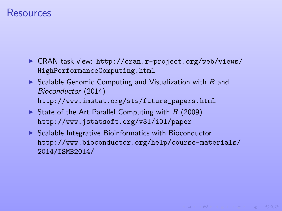#### Resources

- ▶ CRAN task view: [http://cran.r-project.org/web/views/](http://cran.r-project.org/web/views/HighPerformanceComputing.html) [HighPerformanceComputing.html](http://cran.r-project.org/web/views/HighPerformanceComputing.html)
- Scalable Genomic Computing and Visualization with  $R$  and Bioconductor (2014) [http://www.imstat.org/sts/future\\_papers.html](http://www.imstat.org/sts/future_papers.html)
- State of the Art Parallel Computing with  $R$  (2009) <http://www.jstatsoft.org/v31/i01/paper>
- <span id="page-26-0"></span> $\triangleright$  Scalable Integrative Bioinformatics with Bioconductor [http://www.bioconductor.org/help/course-materials/](http://www.bioconductor.org/help/course-materials/2014/ISMB2014/) [2014/ISMB2014/](http://www.bioconductor.org/help/course-materials/2014/ISMB2014/)